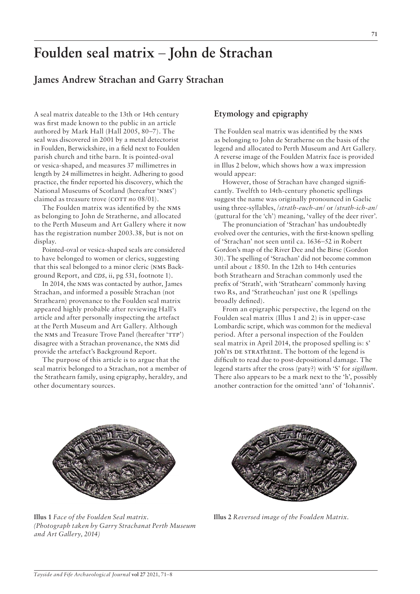# **Foulden seal matrix** – **John de Strachan**

# **James Andrew Strachan and Garry Strachan**

A seal matrix dateable to the 13th or 14th century was first made known to the public in an article authored by Mark Hall (Hall 2005, 80–7). The seal was discovered in 2001 by a metal detectorist in Foulden, Berwickshire, in a field next to Foulden parish church and tithe barn. It is pointed-oval or vesica-shaped, and measures 37 millimetres in length by 24 millimetres in height. Adhering to good practice, the finder reported his discovery, which the National Museums of Scotland (hereafter 'nms') claimed as treasure trove (COTT *no* 08/01).

The Foulden matrix was identified by the nms as belonging to John de Stratherne, and allocated to the Perth Museum and Art Gallery where it now has the registration number 2003.38, but is not on display.

Pointed-oval or vesica-shaped seals are considered to have belonged to women or clerics, suggesting that this seal belonged to a minor cleric (nms Background Report, and *CDS*, ii, pg 531, footnote 1).

In 2014, the nms was contacted by author, James Strachan, and informed a possible Strachan (not Strathearn) provenance to the Foulden seal matrix appeared highly probable after reviewing Hall's article and after personally inspecting the artefact at the Perth Museum and Art Gallery. Although the NMS and Treasure Trove Panel (hereafter 'TTP') disagree with a Strachan provenance, the nms did provide the artefact's Background Report.

The purpose of this article is to argue that the seal matrix belonged to a Strachan, not a member of the Strathearn family, using epigraphy, heraldry, and other documentary sources.

# **Etymology and epigraphy**

The Foulden seal matrix was identified by the nms as belonging to John de Stratherne on the basis of the legend and allocated to Perth Museum and Art Gallery. A reverse image of the Foulden Matrix face is provided in Illus 2 below, which shows how a wax impression would appear:

However, those of Strachan have changed significantly. Twelfth to 14th-century phonetic spellings suggest the name was originally pronounced in Gaelic using three-syllables, /*strath-euch-an*/ or /*strath-ich-an*/ (guttural for the 'ch') meaning, 'valley of the deer river'.

The pronunciation of 'Strachan' has undoubtedly evolved over the centuries, with the first-known spelling of 'Strachan' not seen until ca. 1636–52 in Robert Gordon's map of the River Dee and the Birse (Gordon 30). The spelling of 'Strachan' did not become common until about *c* 1850. In the 12th to 14th centuries both Strathearn and Strachan commonly used the prefix of 'Strath', with 'Strathearn' commonly having two Rs, and 'Stratheuchan' just one R (spellings broadly defined).

From an epigraphic perspective, the legend on the Foulden seal matrix (Illus 1 and 2) is in upper-case Lombardic script, which was common for the medieval period. After a personal inspection of the Foulden seal matrix in April 2014, the proposed spelling is: s' joh'is de stratheine. The bottom of the legend is difficult to read due to post-depositional damage. The legend starts after the cross (paty?) with 'S' for *sigillum*. There also appears to be a mark next to the 'h', possibly another contraction for the omitted 'ann' of 'Iohannis'.



**Illus 1** *Face of the Foulden Seal matrix. (Photograph taken by Garry Strachanat Perth Museum and Art Gallery, 2014)*



**Illus 2** *Reversed image of the Foulden Matrix.*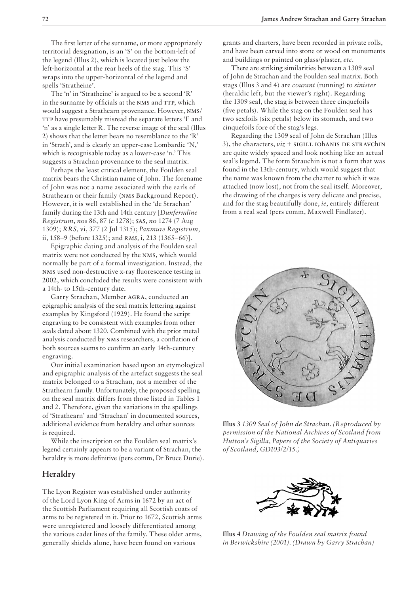The first letter of the surname, or more appropriately territorial designation, is an 'S' on the bottom-left of the legend (Illus 2), which is located just below the left-horizontal at the rear heels of the stag. This 'S' wraps into the upper-horizontal of the legend and spells 'Stratheine'.

The 'n' in 'Stratheine' is argued to be a second 'R' in the surname by officials at the NMS and TTP, which would suggest a Strathearn provenance. However, nms/ TTP have presumably misread the separate letters 'I' and 'n' as a single letter R. The reverse image of the seal (Illus 2) shows that the letter bears no resemblance to the 'R' in 'Strath', and is clearly an upper-case Lombardic 'N,' which is recognisable today as a lower-case 'n.' This suggests a Strachan provenance to the seal matrix.

Perhaps the least critical element, the Foulden seal matrix bears the Christian name of John. The forename of John was not a name associated with the earls of Strathearn or their family (nms Background Report). However, it is well established in the 'de Strachan' family during the 13th and 14th century [*Dunfermline Registrum*, *nos* 86, 87 (*c* 1278); *SAS, no* 1274 (7 Aug 1309); *RRS,* vi, 377 (2 Jul 1315); *Panmure Registrum,*  ii, 158–9 (before 1325); and *RMS,* i, 213 (1365–66)].

Epigraphic dating and analysis of the Foulden seal matrix were not conducted by the nms, which would normally be part of a formal investigation. Instead, the nms used non-destructive x-ray fluorescence testing in 2002, which concluded the results were consistent with a 14th- to 15th-century date.

Garry Strachan, Member agra, conducted an epigraphic analysis of the seal matrix lettering against examples by Kingsford (1929). He found the script engraving to be consistent with examples from other seals dated about 1320. Combined with the prior metal analysis conducted by nms researchers, a conflation of both sources seems to confirm an early 14th-century engraving.

Our initial examination based upon an etymological and epigraphic analysis of the artefact suggests the seal matrix belonged to a Strachan, not a member of the Strathearn family. Unfortunately, the proposed spelling on the seal matrix differs from those listed in Tables 1 and 2. Therefore, given the variations in the spellings of 'Strathearn' and 'Strachan' in documented sources, additional evidence from heraldry and other sources is required.

While the inscription on the Foulden seal matrix's legend certainly appears to be a variant of Strachan, the heraldry is more definitive (pers comm, Dr Bruce Durie).

# **Heraldry**

The Lyon Register was established under authority of the Lord Lyon King of Arms in 1672 by an act of the Scottish Parliament requiring all Scottish coats of arms to be registered in it. Prior to 1672, Scottish arms were unregistered and loosely differentiated among the various cadet lines of the family*.* These older arms, generally shields alone, have been found on various

grants and charters, have been recorded in private rolls, and have been carved into stone or wood on monuments and buildings or painted on glass/plaster, *etc*.

There are striking similarities between a 1309 seal of John de Strachan and the Foulden seal matrix. Both stags (Illus 3 and 4) are *courant* (running) to *sinister* (heraldic left, but the viewer's right). Regarding the 1309 seal, the stag is between three cinquefoils (five petals). While the stag on the Foulden seal has two sexfoils (six petals) below its stomach, and two cinquefoils fore of the stag's legs.

Regarding the 1309 seal of John de Strachan (Illus 3), the characters,  $viz + SIGILL$  IOhanis DE STRAVChIN are quite widely spaced and look nothing like an actual seal's legend. The form Strauchin is not a form that was found in the 13th-century, which would suggest that the name was known from the charter to which it was attached (now lost), not from the seal itself. Moreover, the drawing of the charges is very delicate and precise, and for the stag beautifully done, *ie*, entirely different from a real seal (pers comm, Maxwell Findlater).



**Illus 3** *1309 Seal of John de Strachan. (Reproduced by permission of the National Archives of Scotland from Hutton's Sigilla, Papers of the Society of Antiquaries of Scotland, GD103/2/15.)*



**Illus 4** *Drawing of the Foulden seal matrix found in Berwickshire (2001). (Drawn by Garry Strachan)*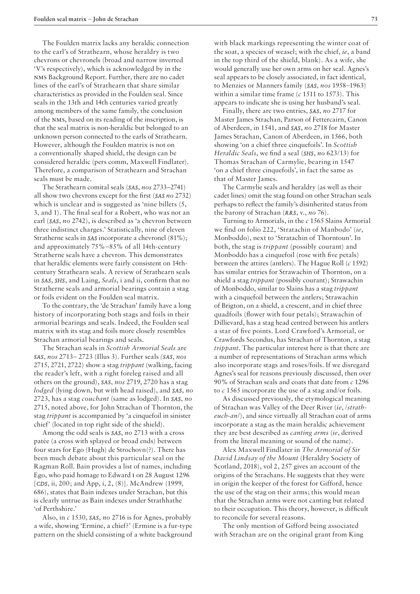The Foulden matrix lacks any heraldic connection to the earl's of Strathearn, whose heraldry is two chevrons or chevronels (broad and narrow inverted 'V's respectively), which is acknowledged by in the nms Background Report. Further, there are no cadet lines of the earl's of Strathearn that share similar characteristics as provided in the Foulden seal. Since seals in the 13th and 14th centuries varied greatly among members of the same family, the conclusion of the nms, based on its reading of the inscription, is that the seal matrix is non-heraldic but belonged to an unknown person connected to the earls of Strathearn. However, although the Foulden matrix is not on a conventionally shaped shield, the design can be considered heraldic (pers comm, Maxwell Findlater). Therefore, a comparison of Strathearn and Strachan seals must be made.

The Strathearn comital seals (*SAS*, *nos* 2733–2741) all show two chevrons except for the first (*SAS no* 2732) which is unclear and is suggested as 'nine billets (5, 3, and 1). The final seal for a Robert, who was not an earl (*SAS*, *no* 2742), is described as 'a chevron between three indistinct charges.' Statistically, nine of eleven Stratherne seals in *SAS* incorporate a chevronel (81%); and approximately 75%–85% of all 14th-century Stratherne seals have a chevron. This demonstrates that heraldic elements were fairly consistent on 14thcentury Strathearn seals. A review of Strathearn seals in *SAS*, *SHS*, and Laing, *Seals*, i and ii, confirm that no Stratherne seals and armorial bearings contain a stag or foils evident on the Foulden seal matrix.

To the contrary, the 'de Strachan' family have a long history of incorporating both stags and foils in their armorial bearings and seals. Indeed, the Foulden seal matrix with its stag and foils more closely resembles Strachan armorial bearings and seals.

The Strachan seals in *Scottish Armorial Seals* are *SAS*, *nos* 2713– 2723 (Illus 3). Further seals *(SAS, nos* 2715, 2721, 2722) show a stag *trippant* (walking, facing the reader's left, with a right foreleg raised and all others on the ground), *SAS*, *nos* 2719, 2720 has a stag *lodged* (lying down, but with head raised), and *SAS*, *no* 2723, has a stag *couchant* (same as lodged). In *SAS*, *no* 2715, noted above, for John Strachan of Thornton, the stag *trippant* is accompanied by 'a cinquefoil in sinister chief' (located in top right side of the shield).

Among the odd seals is *SAS*, *no* 2713 with a cross patée (a cross with splayed or broad ends) between four stars for Ego (Hugh) de Strochovn(?). There has been much debate about this particular seal on the Ragman Roll. Bain provides a list of names, including Ego, who paid homage to Edward i on 28 August 1296 [*CDS*, ii, 200; and App, i, 2, (8)]. McAndrew (1999, 686), states that Bain indexes under Strachan, but this is clearly untrue as Bain indexes under Strathhathe 'of Perthshire.'

Also, in *c* 1530, *SAS*, *no* 2716 is for Agnes, probably a wife, showing 'Ermine, a chief?' (Ermine is a fur-type pattern on the shield consisting of a white background with black markings representing the winter coat of the soat, a species of weasel; with the chief, *ie*, a band in the top third of the shield, blank). As a wife, she would generally use her own arms on her seal. Agnes's seal appears to be closely associated, in fact identical, to Menzies or Manners family (*SAS, nos* 1958–1963) within a similar time frame (*c* 1511 to 1573). This appears to indicate she is using her husband's seal.

Finally, there are two entries, *SAS*, *no* 2717 for Master James Strachan, Parson of Fettercairn, Canon of Aberdeen, in 1541, and *SAS*, *no* 2718 for Master James Strachan, Canon of Aberdeen, in 1566, both showing 'on a chief three cinquefoils'. In *Scottish Heraldic Seals*, we find a seal (*SHS*, *no* 623/13) for Thomas Strachan of Carmylie, bearing in 1547 'on a chief three cinquefoils', in fact the same as that of Master James.

The Carmylie seals and heraldry (as well as their cadet lines) omit the stag found on other Strachan seals perhaps to reflect the family's disinherited status from the barony of Strachan (*RRS*, v., *no* 76).

Turning to Armorials, in the *c* 1565 Slains Armorial we find on folio 222, 'Stratachin of Manbodo' (*ie*, Monboddo), next to 'Stratachin of Thorntoun'. In both, the stag is *trippant* (possibly courant) and Monboddo has a cinquefoil (rose with five petals) between the attires (antlers). The Hague Roll (*c* 1592) has similar entries for Strawachin of Thornton, on a shield a stag *trippant* (possibly courant); Strawachin of Monboddo, similar to Slains has a stag *trippant* with a cinquefoil between the antlers; Strawachin of Brigton, on a shield, a crescent, and in chief three quadfoils (flower with four petals); Strawachin of Dillievard, has a stag head centred between his antlers a star of five points. Lord Crawford's Armorial, or Crawfords Secondus, has Strachan of Thornton, a stag *trippant*. The particular interest here is that there are a number of representations of Strachan arms which also incorporate stags and roses/foils. If we disregard Agnes's seal for reasons previously discussed, then over 90% of Strachan seals and coats that date from *c* 1296 to *c* 1565 incorporate the use of a stag and/or foils.

As discussed previously, the etymological meaning of Strachan was Valley of the Deer River (*ie*, /*stratheuch-an*/), and since virtually all Strachan coat of arms incorporate a stag as the main heraldic achievement they are best described as *canting arms* (*ie*, derived from the literal meaning or sound of the name).

Alex Maxwell Findlater in *The Armorial of Sir David Lindsay of the Mount* (Heraldry Society of Scotland, 2018), vol 2, 257 gives an account of the origins of the Strachans. He suggests that they were in origin the keeper of the forest for Gifford, hence the use of the stag on their arms; this would mean that the Strachan arms were not canting but related to their occupation. This theory, however, is difficult to reconcile for several reasons.

The only mention of Gifford being associated with Strachan are on the original grant from King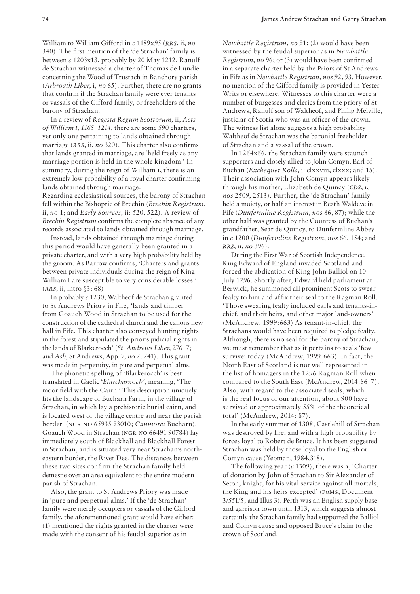William to William Gifford in *c* 1189x95 (*RRS*, ii, *no* 340). The first mention of the 'de Strachan' family is between *c* 1203x13, probably by 20 May 1212, Ranulf de Strachan witnessed a charter of Thomas de Lundie concerning the Wood of Trustach in Banchory parish (*Arbroath Liber*, i, *no* 65). Further, there are no grants that confirm if the Strachan family were ever tenants or vassals of the Gifford family, or freeholders of the barony of Strachan.

In a review of *Regesta Regum Scottorum,* ii, *Acts of William I, 1165–1214*, there are some 590 charters, yet only one pertaining to lands obtained through marriage (*RRS*, ii, *no* 320). This charter also confirms that lands granted in marriage, are 'held freely as any marriage portion is held in the whole kingdom.' In summary, during the reign of William I, there is an extremely low probability of a royal charter confirming lands obtained through marriage.

Regarding ecclesiastical sources, the barony of Strachan fell within the Bishopric of Brechin (*Brechin Registrum*, ii, *no* 1; and *Early Sources*, ii: 520, 522). A review of *Brechin Registrum* confirms the complete absence of any records associated to lands obtained through marriage.

Instead, lands obtained through marriage during this period would have generally been granted in a private charter, and with a very high probability held by the groom. As Barrow confirms, 'Charters and grants between private individuals during the reign of King William I are susceptible to very considerable losses.' (*RRS*, ii, intro §3: 68)

In probably *c* 1230, Waltheof de Strachan granted to St Andrews Priory in Fife, 'lands and timber from Goauch Wood in Strachan to be used for the construction of the cathedral church and the canons new hall in Fife. This charter also conveyed hunting rights in the forest and stipulated the prior's judicial rights in the lands of Blarkerocch' (*St. Andrews Liber*, 276–7; and *Ash*, St Andrews, App. 7, *no* 2: 241). This grant was made in perpetuity, in pure and perpetual alms.

The phonetic spelling of 'Blarkerocch' is best translated in Gaelic '*Blarcharnoch'*, meaning, 'The moor field with the Cairn.' This description uniquely fits the landscape of Bucharn Farm, in the village of Strachan, in which lay a prehistoric burial cairn, and is located west of the village centre and near the parish border. (ngr no 65935 93010; *Canmore:* Bucharn). Goauch Wood in Strachan (ngr no 66491 90784) lay immediately south of Blackhall and Blackhall Forest in Strachan, and is situated very near Strachan's northeastern border, the River Dee. The distances between these two sites confirm the Strachan family held demesne over an area equivalent to the entire modern parish of Strachan.

Also, the grant to St Andrews Priory was made in 'pure and perpetual alms.' If the 'de Strachan' family were merely occupiers or vassals of the Gifford family, the aforementioned grant would have either: (1) mentioned the rights granted in the charter were made with the consent of his feudal superior as in

*Newbattle Registrum*, *no* 91; (2) would have been witnessed by the feudal superior as in *Newbattle Registrum*, *no* 96; or (3) would have been confirmed in a separate charter held by the Priors of St Andrews in Fife as in *Newbattle Registrum*, *nos* 92, 93. However, no mention of the Gifford family is provided in Yester Writs or elsewhere. Witnesses to this charter were a number of burgesses and clerics from the priory of St Andrews, Ranulf son of Waltheof, and Philip Melville, justiciar of Scotia who was an officer of the crown. The witness list alone suggests a high probability Waltheof de Strachan was the baronial freeholder of Strachan and a vassal of the crown.

In 1264x66, the Strachan family were staunch supporters and closely allied to John Comyn, Earl of Buchan (*Exchequer Rolls*, i: clxxviii, clxxx; and 15). Their association with John Comyn appears likely through his mother, Elizabeth de Quincy (*CDS*, i, *nos* 2509, 2513). Further, the 'de Strachan' family held a moiety, or half an interest in Beath Waldeve in Fife (*Dunfermline Registrum*, *nos* 86, 87); while the other half was granted by the Countess of Buchan's grandfather, Sear de Quincy, to Dunfermline Abbey in *c* 1200 (*Dunfermline Registrum*, *nos* 66, 154; and *RRS*, ii, *no* 396).

During the First War of Scottish Independence, King Edward of England invaded Scotland and forced the abdication of King John Balliol on 10 July 1296. Shortly after, Edward held parliament at Berwick, he summoned all prominent Scots to swear fealty to him and affix their seal to the Ragman Roll. 'Those swearing fealty included earls and tenants-inchief, and their heirs, and other major land-owners' (McAndrew, 1999:663) As tenant-in-chief, the Strachans would have been required to pledge fealty. Although, there is no seal for the barony of Strachan, we must remember that as it pertains to seals 'few survive' today (McAndrew, 1999:663). In fact, the North East of Scotland is not well represented in the list of homagers in the 1296 Ragman Roll when compared to the South East (McAndrew, 2014:86–7). Also, with regard to the associated seals, which is the real focus of our attention, about 900 have survived or approximately 55% of the theoretical total' (McAndrew, 2014: 87).

In the early summer of 1308, Castlehill of Strachan was destroyed by fire, and with a high probability by forces loyal to Robert de Bruce. It has been suggested Strachan was held by those loyal to the English or Comyn cause (Yeoman, 1984,318).

The following year (*c* 1309), there was a, 'Charter of donation by John of Strachan to Sir Alexander of Seton, knight, for his vital service against all mortals, the King and his heirs excepted' (poms, Document 3/551/5; and Illus 3). Perth was an English supply base and garrison town until 1313, which suggests almost certainly the Strachan family had supported the Balliol and Comyn cause and opposed Bruce's claim to the crown of Scotland.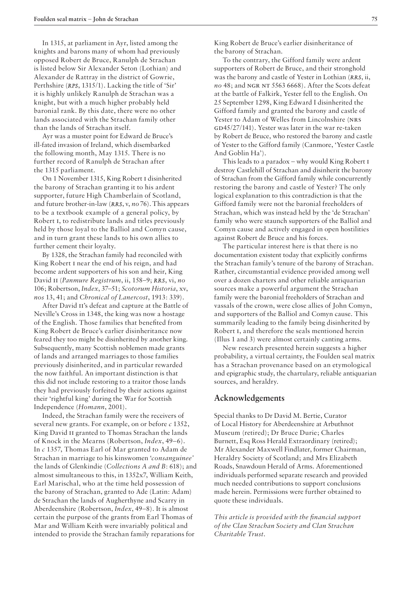In 1315, at parliament in Ayr, listed among the knights and barons many of whom had previously opposed Robert de Bruce, Ranulph de Strachan is listed below Sir Alexander Seton (Lothian) and Alexander de Rattray in the district of Gowrie, Perthshire (*RPS*, 1315/1). Lacking the title of 'Sir' it is highly unlikely Ranulph de Strachan was a knight, but with a much higher probably held baronial rank. By this date, there were no other lands associated with the Strachan family other than the lands of Strachan itself.

Ayr was a muster point for Edward de Bruce's ill-fated invasion of Ireland, which disembarked the following month, May 1315. There is no further record of Ranulph de Strachan after the 1315 parliament.

On 1 November 1315, King Robert i disinherited the barony of Strachan granting it to his ardent supporter, future High Chamberlain of Scotland, and future brother-in-law (*RRS*, v, *no* 76). This appears to be a textbook example of a general policy, by Robert i, to redistribute lands and titles previously held by those loyal to the Balliol and Comyn cause, and in turn grant these lands to his own allies to further cement their loyalty.

By 1328, the Strachan family had reconciled with King Robert i near the end of his reign, and had become ardent supporters of his son and heir, King David ii (*Panmure Registrum*, ii, 158–9; *RRS*, vi, *no* 106; Robertson, *Index*, 37–51; *Scotorum Historia*, xv, *nos* 13, 41; and *Chronical of Lanercost*, 1913: 339).

After David ii's defeat and capture at the Battle of Neville's Cross in 1348, the king was now a hostage of the English. Those families that benefited from King Robert de Bruce's earlier disinheritance now feared they too might be disinherited by another king. Subsequently, many Scottish noblemen made grants of lands and arranged marriages to those families previously disinherited, and in particular rewarded the now faithful. An important distinction is that this did not include restoring to a traitor those lands they had previously forfeited by their actions against their 'rightful king' during the War for Scottish Independence (*Homann*, 2001).

Indeed, the Strachan family were the receivers of several new grants. For example, on or before *c* 1352, King David II granted to Thomas Strachan the lands of Knock in the Mearns (Robertson, *Index*, 49–6). In *c* 1357, Thomas Earl of Mar granted to Adam de Strachan in marriage to his kinswomen '*consanguinee'* the lands of Glenkindie (*Collections A and B*: 618); and almost simultaneous to this, in 1352x7, William Keith, Earl Marischal, who at the time held possession of the barony of Strachan, granted to Ade (Latin: Adam) de Strachan the lands of Augherthyne and Scarry in Aberdeenshire (Robertson, *Index*, 49–8). It is almost certain the purpose of the grants from Earl Thomas of Mar and William Keith were invariably political and intended to provide the Strachan family reparations for

King Robert de Bruce's earlier disinheritance of the barony of Strachan.

To the contrary, the Gifford family were ardent supporters of Robert de Bruce, and their stronghold was the barony and castle of Yester in Lothian (*RRS*, ii, *no* 48; and NGR NT 5563 6668). After the Scots defeat at the battle of Falkirk, Yester fell to the English. On 25 September 1298, King Edward I disinherited the Gifford family and granted the barony and castle of Yester to Adam of Welles from Lincolnshire (NRS GD45/27/141). Yester was later in the war re-taken by Robert de Bruce, who restored the barony and castle of Yester to the Gifford family (Canmore, 'Yester Castle And Goblin Ha').

This leads to a paradox – why would King Robert i destroy Castlehill of Strachan and disinherit the barony of Strachan from the Gifford family while concurrently restoring the barony and castle of Yester? The only logical explanation to this contradiction is that the Gifford family were not the baronial freeholders of Strachan, which was instead held by the 'de Strachan' family who were staunch supporters of the Balliol and Comyn cause and actively engaged in open hostilities against Robert de Bruce and his forces.

The particular interest here is that there is no documentation existent today that explicitly confirms the Strachan family's tenure of the barony of Strachan. Rather, circumstantial evidence provided among well over a dozen charters and other reliable antiquarian sources make a powerful argument the Strachan family were the baronial freeholders of Strachan and vassals of the crown, were close allies of John Comyn, and supporters of the Balliol and Comyn cause. This summarily leading to the family being disinherited by Robert i, and therefore the seals mentioned herein (Illus 1 and 3) were almost certainly canting arms.

New research presented herein suggests a higher probability, a virtual certainty, the Foulden seal matrix has a Strachan provenance based on an etymological and epigraphic study, the chartulary, reliable antiquarian sources, and heraldry.

#### **Acknowledgements**

Special thanks to Dr David M. Bertie, Curator of Local History for Aberdeenshire at Arbuthnot Museum (retired); Dr Bruce Durie; Charles Burnett, Esq Ross Herald Extraordinary (retired); Mr Alexander Maxwell Findlater, former Chairman, Heraldry Society of Scotland; and Mrs Elizabeth Roads, Snawdoun Herald of Arms. Aforementioned individuals performed separate research and provided much needed contributions to support conclusions made herein. Permissions were further obtained to quote these individuals.

*This article is provided with the financial support of the Clan Strachan Society and Clan Strachan Charitable Trust.*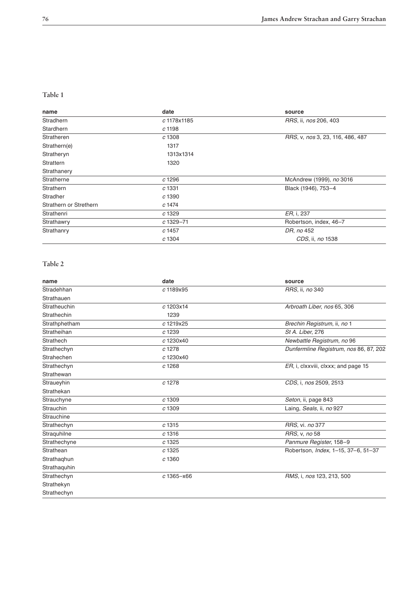#### **Table 1**

| name                   | date         | source                           |
|------------------------|--------------|----------------------------------|
| Stradhern              | c 1178x1185  | RRS, ii, nos 206, 403            |
| <b>Stardhern</b>       | c 1198       |                                  |
| Stratheren             | c1308        | RRS, v, nos 3, 23, 116, 486, 487 |
| Strathern(e)           | 1317         |                                  |
| Stratheryn             | 1313x1314    |                                  |
| Strattern              | 1320         |                                  |
| Strathanery            |              |                                  |
| Stratherne             | c 1296       | McAndrew (1999), no 3016         |
| Strathern              | c 1331       | Black (1946), 753-4              |
| Stradher               | c 1390       |                                  |
| Strathern or Strethern | c 1474       |                                  |
| Strathenri             | c 1329       | ER, i, 237                       |
| Strathawry             | $c1329 - 71$ | Robertson, index, 46-7           |
| Strathanry             | c 1457       | DR, no 452                       |
|                        | c 1304       | CDS, ii, no 1538                 |

## **Table 2**

| date          | source                                 |
|---------------|----------------------------------------|
| c 1189x95     | RRS, ii, no 340                        |
|               |                                        |
| c 1203x14     | Arbroath Liber, nos 65, 306            |
| 1239          |                                        |
| c 1219x25     | Brechin Registrum, ii, no 1            |
| c 1239        | St A. Liber, 276                       |
| c 1230x40     | Newbattle Registrum, no 96             |
| c 1278        | Dunfermline Registrum, nos 86, 87, 202 |
| c 1230x40     |                                        |
| c 1268        | ER, i, clxxviii, clxxx; and page 15    |
|               |                                        |
| c 1278        | CDS, i, nos 2509, 2513                 |
|               |                                        |
| c 1309        | Seton, ii, page 843                    |
| c 1309        | Laing, Seals, ii, no 927               |
|               |                                        |
| $c$ 1315      | RRS, vi. no 377                        |
| $c$ 1316      | RRS, v, no 58                          |
| c1325         | Panmure Register, 158-9                |
| c1325         | Robertson, Index, 1-15, 37-6, 51-37    |
| c1360         |                                        |
|               |                                        |
| $c1365 - x66$ | RMS, i, nos 123, 213, 500              |
|               |                                        |
|               |                                        |
|               |                                        |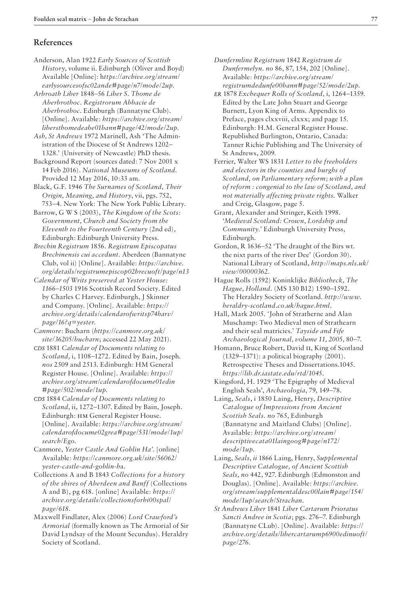## **References**

- Anderson, Alan 1922 *Early Sources of Scottish History*, volume ii. Edinburgh (Oliver and Boyd) Available [Online]: h*ttps://archive.org/stream/ earlysourcesofsc02ande#page/n7/mode/2up.*
- *Arbroath Liber* 1848–56 *Liber S. Thome de Aberbrothoc. Registrorum Abbacie de Aberbrothoc*. Edinburgh (Bannatyne Club). [Online]. Available: *https://archive.org/stream/ libersthomedeabe01bann#page/42/mode/2up.*
- *Ash, St Andrews* 1972 Marinell, Ash 'The Administration of the Diocese of St Andrews 1202– 1328.' (University of Newcastle) PhD thesis.
- Background Report (sources dated: 7 Nov 2001 x 14 Feb 2016). *National Museums of Scotland*. Provided 12 May 2016, 10:33 am.
- Black, G.F. 1946 *The Surnames of Scotland, Their Origin, Meaning, and History*, vii, pgs. 752, 753–4. New York: The New York Public Library.
- Barrow, G W S (2003), *The Kingdom of the Scots: Government, Church and Society from the Eleventh to the Fourteenth Century* (2nd ed), Edinburgh: Edinburgh University Press.
- *Brechin Registrum* 1856. *Registrum Episcopatus Brechinensis cui accedunt.* Aberdeen (Bannatyne Club, vol ii) [Online]. Available: *https://archive. org/details/registrumepiscop02brecuoft/page/n13*
- *Calendar of Writs preserved at Yester House: 1166–1503* 1916 Scottish Record Society. Edited by Charles C Harvey. Edinburgh, J Skinner and Company. [Online]. Available: *https:// archive.org/details/calendarofwritsp74harv/ page/16?q=yester.*
- *Canmore*: Bucharn (*https://canmore.org.uk/ site/36205/bucharn*; accessed 22 May 2021).
- *CDS* 1881 *Calendar of Documents relating to Scotland,* i, 1108–1272. Edited by Bain, Joseph. *nos* 2509 and 2513. Edinburgh: HM General Register House. [Online]. Available: *https:// archive.org/stream/calendarofdocume01edin #page/502/mode/1up*.
- *CDS* 1884 *Calendar of Documents relating to Scotland,* ii, 1272–1307. Edited by Bain, Joseph. Edinburgh: hm General Register House. [Online]. Available: *https://archive.org/stream/ calendarofdocume02grea#page/531/mode/1up/ search/Ego*.
- Canmore, *Yester Castle And Goblin Ha'*. [online] Available: *https://canmore.org.uk/site/56062/ yester-castle-and-goblin-h*a.
- Collections A and B 1843 *Collections for a history of the shires of Aberdeen and Banff* (Collections A and B), pg 618. [online] Available: *https:// archive.org/details/collectionsforhi00spal/ page/618.*
- Maxwell Findlater, Alex (2006) *Lord Crawford's Armorial* (formally known as The Armorial of Sir David Lyndsay of the Mount Secundus). Heraldry Society of Scotland.
- *Dunfermline Registrum* 1842 *Registrum de Dunfermelyn*. *no* 86, 87, 154, 202 [Online]. Available: *https://archive.org/stream/ registrumdedunfe00bann#page/52/mode/2up.*
- *ER* 1878 *Exchequer Rolls of Scotland,* i, 1264–1359. Edited by the Late John Stuart and George Burnett, Lyon King of Arms. Appendix to Preface, pages clxxviii, clxxx; and page 15. Edinburgh: H.M. General Register House. Republished Burlington, Ontario, Canada: Tanner Richie Publishing and The University of St Andrews, 2009.
- Ferrier, Walter WS 1831 *Letter to the freeholders and electors in the counties and burghs of Scotland, on Parliamentary reform; with a plan of reform : congenial to the law of Scotland, and not materially affecting private rights*. Walker and Creig, Glasgow, page 5.
- Grant, Alexander and Stringer, Keith 1998. '*Medieval Scotland: Crown, Lordship and Community.*' Edinburgh University Press, Edinburgh.
- Gordon, R 1636–52 'The draught of the Birs wt. the nixt parts of the river Dee' (Gordon 30). National Library of Scotland, *http://maps.nls.uk/ view/00000362.*
- Hague Rolls (1592) Koninklijke *Bibliotheck, The Hague, Holland.* (MS 130 B12) 1590–1592. The Heraldry Society of Scotland. *http://www. heraldry-scotland.co.uk/hague.html.*
- Hall, Mark 2005. *'*John of Stratherne and Alan Muschamp: Two Medieval men of Strathearn and their seal matricies.' *Tayside and Fife Archaeological Journal, volume 11, 2005,* 80–7.
- Homann, Bruce Robert, David ii, King of Scotland (1329–1371): a political biography (2001). Retrospective Theses and Dissertations.1045. *https://lib.dr.iastate.edu/rtd/1045.*
- Kingsford, H. 1929 'The Epigraphy of Medieval English Seals', *Archaeologia*, 79, 149–78.
- Laing, *Seals*, i 1850 Laing, Henry, *Descriptive Catalogue of Impressions from Ancient Scottish Seals. no* 765, Edinburgh (Bannatyne and Maitland Clubs) [Online]. Available: *https://archive.org/stream/ descriptivecata01laingoog#page/n172/ mode/1up.*
- Laing, *Seals*, *ii* 1866 Laing, Henry, *Supplemental Descriptive Catalogue, of Ancient Scottish Seals, no* 442, 927. Edinburgh (Edmonston and Douglas). [Online]. Available: *https://archive. org/stream/supplementaldesc00lain#page/154/ mode/1up/search/Strachan.*
- *St Andrews Liber* 1841 *Liber Cartarum Prioratus Sancti Andree in Scotia*; pgs. 276–7. Edinburgh (Bannatyne CLub). [Online]. Available: *https:// archive.org/details/libercartarump6900edinuoft/ page/276.*